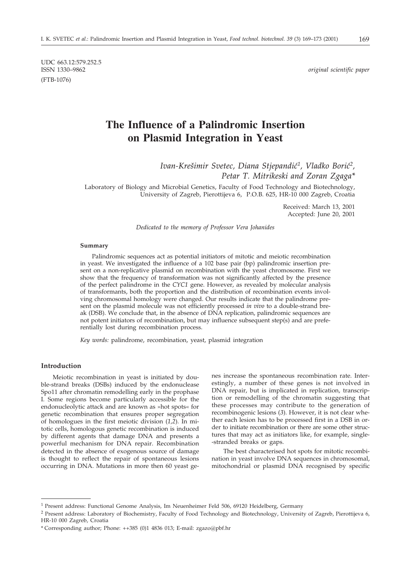UDC 663.12:579.252.5 (FTB-1076)

 $original$  scientific paper

# **The Influence of a Palindromic Insertion on Plasmid Integration in Yeast**

*Ivan-Kre{imir Svetec, Diana Stjepandi}1, Vladko Bori}2, Petar T. Mitrikeski and Zoran Zgaga\**

Laboratory of Biology and Microbial Genetics, Faculty of Food Technology and Biotechnology, University of Zagreb, Pierottijeva 6, P.O.B. 625, HR-10 000 Zagreb, Croatia

> Received: March 13, 2001 Accepted: June 20, 2001

*Dedicated to the memory of Professor Vera Johanides*

## **Summary**

Palindromic sequences act as potential initiators of mitotic and meiotic recombination in yeast. We investigated the influence of a 102 base pair (bp) palindromic insertion present on a non-replicative plasmid on recombination with the yeast chromosome. First we show that the frequency of transformation was not significantly affected by the presence of the perfect palindrome in the *CYC1* gene. However, as revealed by molecular analysis of transformants, both the proportion and the distribution of recombination events involving chromosomal homology were changed. Our results indicate that the palindrome present on the plasmid molecule was not efficiently processed *in vivo* to a double-strand break (DSB). We conclude that, in the absence of DNA replication, palindromic sequences are not potent initiators of recombination, but may influence subsequent step(s) and are preferentially lost during recombination process.

*Key words:* palindrome, recombination, yeast, plasmid integration

# **Introduction**

Meiotic recombination in yeast is initiated by double-strand breaks (DSBs) induced by the endonuclease Spo11 after chromatin remodelling early in the prophase I. Some regions become particularly accessible for the endonucleolytic attack and are known as »hot spots« for genetic recombination that ensures proper segregation of homologues in the first meiotic division (*1,2*). In mitotic cells, homologous genetic recombination is induced by different agents that damage DNA and presents a powerful mechanism for DNA repair. Recombination detected in the absence of exogenous source of damage is thought to reflect the repair of spontaneous lesions occurring in DNA. Mutations in more then 60 yeast genes increase the spontaneous recombination rate. Interestingly, a number of these genes is not involved in DNA repair, but is implicated in replication, transcription or remodelling of the chromatin suggesting that these processes may contribute to the generation of recombinogenic lesions (*3*). However, it is not clear whether each lesion has to be processed first in a DSB in order to initiate recombination or there are some other structures that may act as initiators like, for example, single- -stranded breaks or gaps.

The best characterised hot spots for mitotic recombination in yeast involve DNA sequences in chromosomal, mitochondrial or plasmid DNA recognised by specific

<sup>&</sup>lt;sup>1</sup> Present address: Functional Genome Analysis, Im Neuenheimer Feld 506, 69120 Heidelberg, Germany

<sup>&</sup>lt;sup>2</sup> Present address: Laboratory of Biochemistry, Faculty of Food Technology and Biotechnology, University of Zagreb, Pierottijeva 6, HR-10 000 Zagreb, Croatia

<sup>\*</sup> Corresponding author; Phone: ++385 (0)1 4836 013; E-mail: zgazo@pbf.hr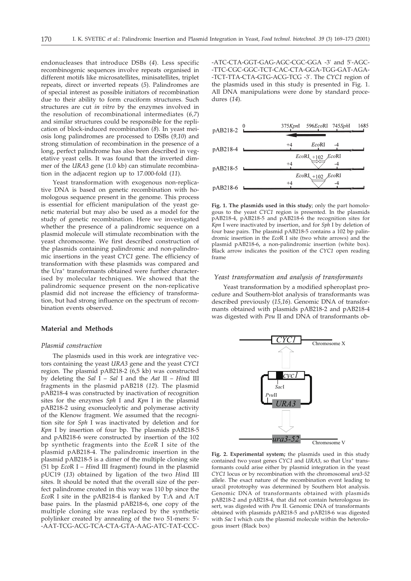endonucleases that introduce DSBs (*4*). Less specific recombinogenic sequences involve repeats organised in different motifs like microsatellites, minisatellites, triplet repeats, direct or inverted repeats (*5*). Palindromes are of special interest as possible initiators of recombination due to their ability to form cruciform structures. Such structures are cut *in vitro* by the enzymes involved in the resolution of recombinational intermediates (*6,7*) and similar structures could be responsible for the replication of block-induced recombination (*8*). In yeast meiosis long palindromes are processed to DSBs (*9,10*) and strong stimulation of recombination in the presence of a long, perfect palindrome has also been described in vegetative yeast cells. It was found that the inverted dimmer of the *URA3* gene (1.0 kb) can stimulate recombination in the adjacent region up to 17.000-fold (*11*).

Yeast transformation with exogenous non-replicative DNA is based on genetic recombination with homologous sequence present in the genome. This process is essential for efficient manipulation of the yeast genetic material but may also be used as a model for the study of genetic recombination. Here we investigated whether the presence of a palindromic sequence on a plasmid molecule will stimulate recombination with the yeast chromosome. We first described construction of the plasmids containing palindromic and non-palindromic insertions in the yeast *CYC1* gene. The efficiency of transformation with these plasmids was compared and the Ura<sup>+</sup> transformants obtained were further characterised by molecular techniques. We showed that the palindromic sequence present on the non-replicative plasmid did not increase the efficiency of transformation, but had strong influence on the spectrum of recombination events observed.

#### **Material and Methods**

#### *Plasmid construction*

The plasmids used in this work are integrative vectors containing the yeast *URA3* gene and the yeast *CYC1* region. The plasmid pAB218-2 (6,5 kb) was constructed by deleting the *Sal* I – *Sal* I and the *Aat* II – *Hin*d III fragments in the plasmid pAB218 (*12*). The plasmid pAB218-4 was constructed by inactivation of recognition sites for the enzymes *Sph* I and *Kpn* I in the plasmid pAB218-2 using exonucleolytic and polymerase activity of the Klenow fragment. We assumed that the recognition site for *Sph* I was inactivated by deletion and for *Kpn* I by insertion of four bp. The plasmids pAB218-5 and pAB218-6 were constructed by insertion of the 102 bp synthetic fragments into the *Eco*R I site of the plasmid pAB218-4. The palindromic insertion in the plasmid pAB218-5 is a dimer of the multiple cloning site (51 bp *Eco*RI– *Hin*d III fragment) found in the plasmid pUC19 (*13*) obtained by ligation of the two *Hin*d III sites. It should be noted that the overall size of the perfect palindrome created in this way was 110 bp since the *Eco*R I site in the pAB218-4 is flanked by T:A and A:T base pairs. In the plasmid pAB218-6, one copy of the multiple cloning site was replaced by the synthetic polylinker created by annealing of the two 51-mers: 5'- -AAT-TCG-ACG-TCA-CTA-GTA-AAG-ATC-TAT-CCC-

-ATC-CTA-GGT-GAG-AGC-CGC-GGA -3' and 5'-AGC- -TTC-CGC-GGC-TCT-CAC-CTA-GGA-TGG-GAT-AGA- -TCT-TTA-CTA-GTG-ACG-TCG -3'. The *CYC1* region of the plasmids used in this study is presented in Fig. 1. All DNA manipulations were done by standard procedures (*14*).



**Fig. 1. The plasmids used in this study**; only the part homologous to the yeast *CYC1* region is presented. In the plasmids pAB218-4, pAB218-5 and pAB218-6 the recognition sites for *Kpn* I were inactivated by insertion, and for *Sph* I by deletion of four base pairs. The plasmid pAB218-5 contains a 102 bp palindromic insertion in the *Eco*R I site (two white arrows) and the plasmid pAB218-6, a non-palindromic insertion (white box). Black arrow indicates the position of the *CYC1* open reading frame

### *Yeast transformation and analysis of transformants*

Yeast transformation by a modified spheroplast procedure and Southern-blot analysis of transformants was described previously (*15,16*). Genomic DNA of transformants obtained with plasmids pAB218-2 and pAB218-4 was digested with *Pvu* II and DNA of transformants ob-



**Fig. 2. Experimental system;** the plasmids used in this study contained two yeast genes *CYC1* and *URA3*, so that Ura<sup>+</sup> transformants could arise either by plasmid integration in the yeast *CYC1* locus or by recombination with the chromosomal *ura3-52* allele. The exact nature of the recombination event leading to uracil prototrophy was determined by Southern blot analysis. Genomic DNA of transformants obtained with plasmids pAB218-2 and pAB218-4, that did not contain heterologous insert, was digested with *Pvu* II. Genomic DNA of transformants obtained with plasmids pAB218-5 and pAB218-6 was digested with *Sac* I which cuts the plasmid molecule within the heterologous insert (Black box)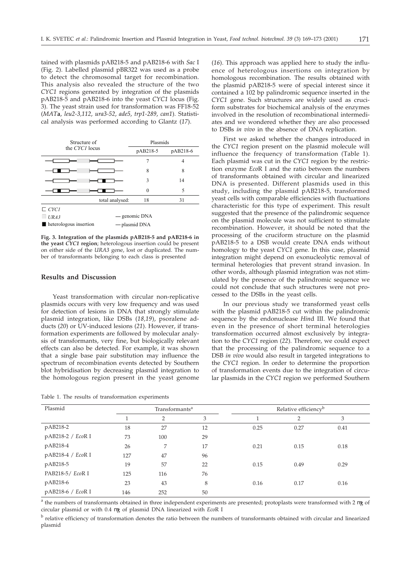tained with plasmids pAB218-5 and pAB218-6 with *Sac* I (Fig. 2). Labelled plasmid pBR322 was used as a probe to detect the chromosomal target for recombination. This analysis also revealed the structure of the two *CYC1* regions generated by integration of the plasmids pAB218-5 and pAB218-6 into the yeast *CYC1* locus (Fig. 3). The yeast strain used for transformation was FF18-52 (*MAT***a**, *leu2-3,112*, *ura3-52*, *ade5*, *trp1-289*, *can1*). Statistical analysis was performed according to Glantz (*17*).

| Structure of<br>the CYC1 locus        |                 | Plasmids |          |  |
|---------------------------------------|-----------------|----------|----------|--|
|                                       |                 | pAB218-5 | pAB218-6 |  |
|                                       |                 |          | 4        |  |
|                                       |                 | 8        | 8        |  |
|                                       |                 | 3        | 14       |  |
|                                       |                 | $\Omega$ | 5        |  |
|                                       | total analysed: | 18       | 31       |  |
| CYC1                                  |                 |          |          |  |
| URA3                                  | - genomic DNA   |          |          |  |
| $\blacksquare$ heterologous insertion | - plasmid DNA   |          |          |  |

**Fig. 3. Integration of the plasmids pAB218-5 and pAB218-6 in the yeast** *CYC1* **region**; heterologous insertion could be present on either side of the *URA3* gene, lost or duplicated. The number of transformants belonging to each class is presented

#### **Results and Discussion**

Yeast transformation with circular non-replicative plasmids occurs with very low frequency and was used for detection of lesions in DNA that strongly stimulate plasmid integration, like DSBs (*18,19*), psoralene adducts (*20*) or UV-induced lesions (*21*). However, if transformation experiments are followed by molecular analysis of transformants, very fine, but biologically relevant effects can also be detected. For example, it was shown that a single base pair substitution may influence the spectrum of recombination events detected by Southern blot hybridisation by decreasing plasmid integration to the homologous region present in the yeast genome

Table 1. The results of transformation experiments

(*16*). This approach was applied here to study the influence of heterologous insertions on integration by homologous recombination. The results obtained with the plasmid pAB218-5 were of special interest since it contained a 102 bp palindromic sequence inserted in the *CYC1* gene. Such structures are widely used as cruciform substrates for biochemical analysis of the enzymes involved in the resolution of recombinational intermediates and we wondered whether they are also processed to DSBs *in vivo* in the absence of DNA replication.

First we asked whether the changes introduced in the *CYC1* region present on the plasmid molecule will influence the frequency of transformation (Table 1). Each plasmid was cut in the *CYC1* region by the restriction enzyme *Eco*R I and the ratio between the numbers of transformants obtained with circular and linearized DNA is presented. Different plasmids used in this study, including the plasmid pAB218-5, transformed yeast cells with comparable efficiencies with fluctuations characteristic for this type of experiment. This result suggested that the presence of the palindromic sequence on the plasmid molecule was not sufficient to stimulate recombination. However, it should be noted that the processing of the cruciform structure on the plasmid pAB218-5 to a DSB would create DNA ends without homology to the yeast *CYC1* gene. In this case, plasmid integration might depend on exonucleolytic removal of terminal heterologies that prevent strand invasion. In other words, although plasmid integration was not stimulated by the presence of the palindromic sequence we could not conclude that such structures were not processed to the DSBs in the yeast cells.

In our previous study we transformed yeast cells with the plasmid pAB218-5 cut within the palindromic sequence by the endonuclease *Hin*d III. We found that even in the presence of short terminal heterologies transformation occurred almost exclusively by integration to the *CYC1* region (*22*). Therefore, we could expect that the processing of the palindromic sequence to a DSB *in vivo* would also result in targeted integrations to the *CYC1* region. In order to determine the proportion of transformation events due to the integration of circular plasmids in the *CYC1* region we performed Southern

| Plasmid           |     | Transformants <sup>a</sup> |    |      | Relative efficiency <sup>b</sup> |      |
|-------------------|-----|----------------------------|----|------|----------------------------------|------|
|                   |     | 2                          | 3  |      | 2                                | 3    |
| pAB218-2          | 18  | 27                         | 12 | 0.25 | 0.27                             | 0.41 |
| pAB218-2 / EcoR I | 73  | 100                        | 29 |      |                                  |      |
| pAB218-4          | 26  | 7                          | 17 | 0.21 | 0.15                             | 0.18 |
| pAB218-4 / EcoR I | 127 | 47                         | 96 |      |                                  |      |
| pAB218-5          | 19  | 57                         | 22 | 0.15 | 0.49                             | 0.29 |
| PAB218-5/ EcoR I  | 125 | 116                        | 76 |      |                                  |      |
| pAB218-6          | 23  | 43                         | 8  | 0.16 | 0.17                             | 0.16 |
| pAB218-6 / EcoR I | 146 | 252                        | 50 |      |                                  |      |

 $a$  the numbers of transformants obtained in three independent experiments are presented; protoplasts were transformed with 2 g of circular plasmid or with 0.4 g of plasmid DNA linearized with *Eco*R I

<sup>b</sup> relative efficiency of transformation denotes the ratio between the numbers of transformants obtained with circular and linearized plasmid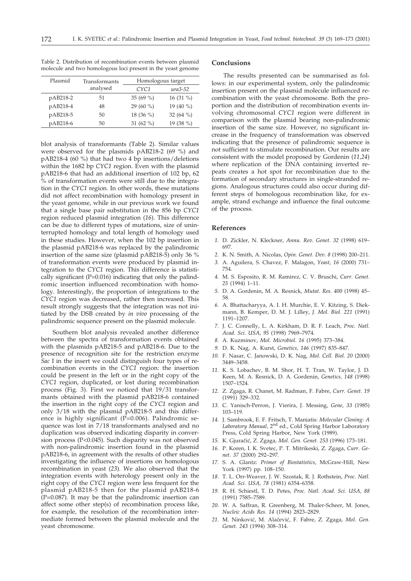| Plasmid  | Transformants |                  | Homologous target |  |  |
|----------|---------------|------------------|-------------------|--|--|
|          | analysed      | CYC <sub>1</sub> | $ura3-52$         |  |  |
| pAB218-2 | 51            | 35 (69 %)        | 16 $(31\%)$       |  |  |
| pAB218-4 | 48            | 29 (60 %)        | 19 (40 %)         |  |  |
| pAB218-5 | 50            | 18 $(36\%)$      | 32 $(64\%)$       |  |  |

pAB218-6 50 31 (62 %) 19 (38 %)

Table 2. Distribution of recombination events between plasmid molecule and two homologous loci present in the yeast genome

blot analysis of transformants (Table 2). Similar values were observed for the plasmids pAB218-2 (69 %) and pAB218-4 (60 %) that had two 4 bp insertions/deletions within the 1682 bp *CYC1* region. Even with the plasmid pAB218-6 that had an additional insertion of 102 bp, 62 % of transformation events were still due to the integration in the *CYC1* region. In other words, these mutations did not affect recombination with homology present in the yeast genome, while in our previous work we found that a single base pair substitution in the 856 bp *CYC1* region reduced plasmid integration (*16*). This difference can be due to different types of mutations, size of uninterrupted homology and total length of homology used in these studies. However, when the 102 bp insertion in the plasmid pAB218-6 was replaced by the palindromic insertion of the same size (plasmid pAB218-5) only 36 % of transformation events were produced by plasmid integration to the *CYC1* region. This difference is statistically significant (P=0.016) indicating that only the palindromic insertion influenced recombination with homology. Interestingly, the proportion of integrations to the *CYC1* region was decreased, rather then increased. This result strongly suggests that the integration was not initiated by the DSB created by *in vivo* processing of the palindromic sequence present on the plasmid molecule.

Southern blot analysis revealed another difference between the spectra of transformation events obtained with the plasmids pAB218-5 and pAB218-6. Due to the presence of recognition site for the restriction enzyme *Sac* I in the insert we could distinguish four types of recombination events in the *CYC1* region: the insertion could be present in the left or in the right copy of the *CYC1* region, duplicated, or lost during recombination process (Fig. 3). First we noticed that 19/31 transformants obtained with the plasmid pAB218-6 contained the insertion in the right copy of the *CYC1* region and only 3/18 with the plasmid pAB218-5 and this difference is highly significant ( $\bar{P}=0.006$ ). Palindromic sequence was lost in 7/18 transformants analysed and no duplication was observed indicating disparity in conversion process (P<0.045). Such disparity was not observed with non-palindromic insertion found in the plasmid pAB218-6, in agreement with the results of other studies investigating the influence of insertions on homologous recombination in yeast (*23*). We also observed that the integration events with heterology present only in the right copy of the *CYC1* region were less frequent for the plasmid pAB218-5 then for the plasmid pAB218-6  $(P=0.087)$ . It may be that the palindromic insertion can affect some other step(s) of recombination process like, for example, the resolution of the recombination intermediate formed between the plasmid molecule and the yeast chromosome.

#### **Conclusions**

The results presented can be summarised as follows: in our experimental system, only the palindromic insertion present on the plasmid molecule influenced recombination with the yeast chromosome. Both the proportion and the distribution of recombination events involving chromosomal *CYC1* region were different in comparison with the plasmid bearing non-palindromic insertion of the same size. However, no significant increase in the frequency of transformation was observed indicating that the presence of palindromic sequence is not sufficient to stimulate recombination. Our results are consistent with the model proposed by Gordenin (*11,24*) where replication of the DNA containing inverted repeats creates a hot spot for recombination due to the formation of secondary structures in single-stranded regions. Analogous structures could also occur during different steps of homologous recombination like, for example, strand exchange and influence the final outcome of the process.

#### **References**

- *1.* D. Zickler, N. Kleckner, *Annu. Rev. Genet. 32* (1998) 619– 697.
- *2.* K. N. Smith, A. Nicolas, *Opin. Genet. Dev. 8* (1998) 200–211.
- *3.* A. Aguilera, S. Chavez, F. Malagon, *Yeast, 16* (2000) 731– 754.
- *4.* M. S. Esposito, R. M. Ramirez, C. V. Bruschi, *Curr. Genet. 25* (1994) 1–11.
- *5.* D. A. Gordenin, M. A. Resnick, *Mutat. Res. 400* (1998) 45– 58.
- *6.* A. Bhattacharyya, A. I. H. Murchie, E. V. Kitzing, S. Diekmann, B. Kemper, D. M. J. Lilley, *J. Mol. Biol. 221* (1991) 1191–1207.
- *7.* J. C. Connelly, L. A. Kirkham, D. R. F. Leach, *Proc. Natl. Acad. Sci. USA, 95* (1998) 7969–7974.
- *8.* A. Kuzminov, *Mol. Microbiol. 16* (1995) 373–384.
- *9.* D. K. Nag, A. Kurst, *Genetics, 146* (1997) 835–847.
- *10.* F. Nasar, C. Janowski, D. K. Nag, *Mol. Cell. Biol. 20* (2000) 3449–3458.
- *11.* K. S. Lobachev, B. M. Shor, H. T. Tran, W. Taylor, J. D. Keen, M. A. Resnick, D. A. Gordenin, *Genetics, 148* (1998) 1507–1524.
- *12.* Z. Zgaga, R. Chanet, M. Radman, F. Fabre, *Curr. Genet. 19* (1991) 329–332.
- *13.* C. Yanisch-Perron, J. Vierira, J. Messing, *Gene, 33* (1985) 103–119.
- *14.* J. Sambrook, E. F. Fritsch, T. Maniatis: *Molecular Cloning: A Laboratory Manual*, 2nd ed., Cold Spring Harbor Laboratory Press, Cold Spring Harbor, New York (1989).
- *15.* K. Gjura~i}, Z. Zgaga*, Mol. Gen. Genet. 253* (1996) 173–181.
- *16.* P. Koren, I. K. Svetec, P. T. Mitrikeski, Z. Zgaga, *Curr. Genet. 37* (2000) 292–297.
- *17.* S. A. Glantz: *Primer of Biostatistics*, McGraw-Hill, New York (1997) pp. 108–150.
- *18.* T. L. Orr-Weaver, J. W. Szostak, R. J. Rothstein, *Proc. Natl. Acad. Sci. USA, 78* (1981) 6354–6358.
- *19.* R. H. Schiestl, T. D. Petes, *Proc. Natl. Acad. Sci. USA, 88* (1991) 7585–7589.
- *20.* W. A. Saffran, R. Greenberg, M. Thaler-Scheer, M. Jones, *Nucleic Acids Res. 14* (1994) 2823–2829.
- 21. M. Ninković, M. Alačević, F. Fabre, Z. Zgaga, Mol. Gen. *Genet. 243* (1994) 308–314.